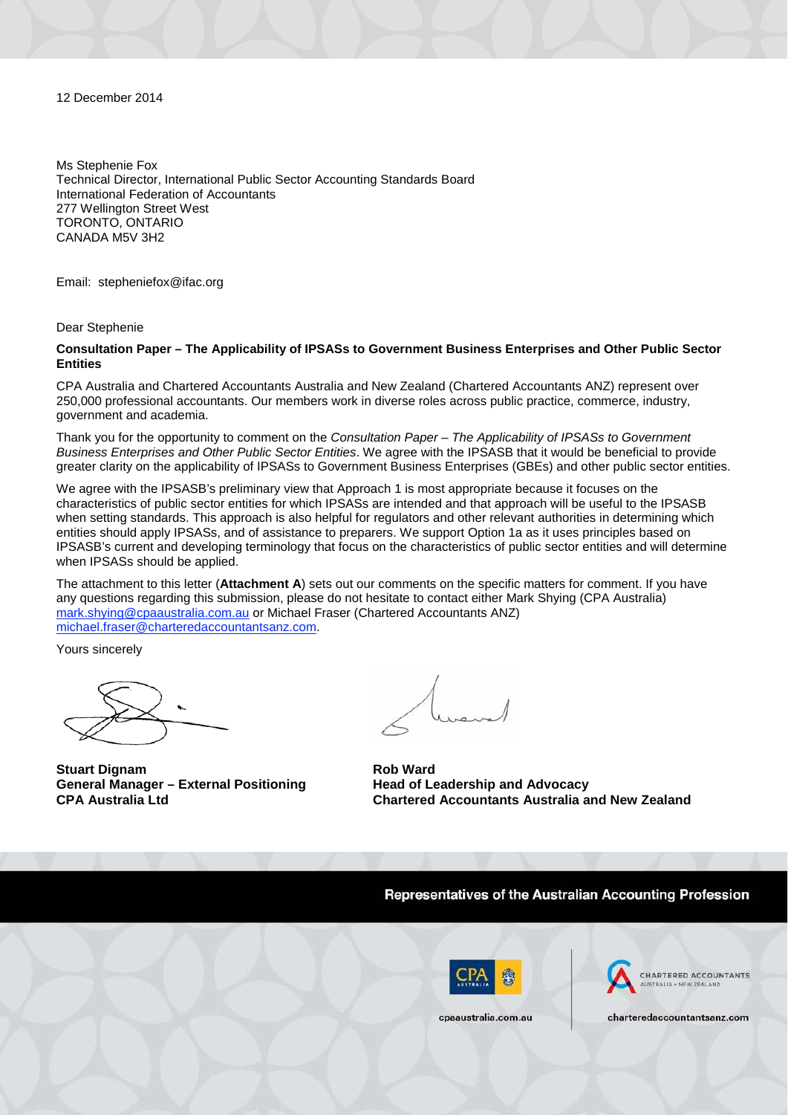12 December 2014

Ms Stephenie Fox Technical Director, International Public Sector Accounting Standards Board International Federation of Accountants 277 Wellington Street West TORONTO, ONTARIO CANADA M5V 3H2

Email: [stepheniefox@ifac.org](mailto:stepheniefox@ifac.org)

Dear Stephenie

**Consultation Paper – The Applicability of IPSASs to Government Business Enterprises and Other Public Sector Entities**

CPA Australia and Chartered Accountants Australia and New Zealand (Chartered Accountants ANZ) represent over 250,000 professional accountants. Our members work in diverse roles across public practice, commerce, industry, government and academia.

Thank you for the opportunity to comment on the *Consultation Paper – The Applicability of IPSASs to Government Business Enterprises and Other Public Sector Entities*. We agree with the IPSASB that it would be beneficial to provide greater clarity on the applicability of IPSASs to Government Business Enterprises (GBEs) and other public sector entities.

We agree with the IPSASB's preliminary view that Approach 1 is most appropriate because it focuses on the characteristics of public sector entities for which IPSASs are intended and that approach will be useful to the IPSASB when setting standards. This approach is also helpful for regulators and other relevant authorities in determining which entities should apply IPSASs, and of assistance to preparers. We support Option 1a as it uses principles based on IPSASB's current and developing terminology that focus on the characteristics of public sector entities and will determine when IPSASs should be applied.

The attachment to this letter (**Attachment A**) sets out our comments on the specific matters for comment. If you have any questions regarding this submission, please do not hesitate to contact either Mark Shying (CPA Australia) [mark.shying@cpaaustralia.com.au](mailto:mark.shying@cpaaustralia.com.au) or Michael Fraser (Chartered Accountants ANZ) [michael.fraser@charteredaccountantsanz.com.](mailto:michael.fraser@charteredaccountantsanz.com)

Yours sincerely

**Stuart Dignam General Manager – External Positioning CPA Australia Ltd**

**Rob Ward Head of Leadership and Advocacy Chartered Accountants Australia and New Zealand**

Representatives of the Australian Accounting Profession





cpaaustralia.com.au

charteredaccountantsanz.com